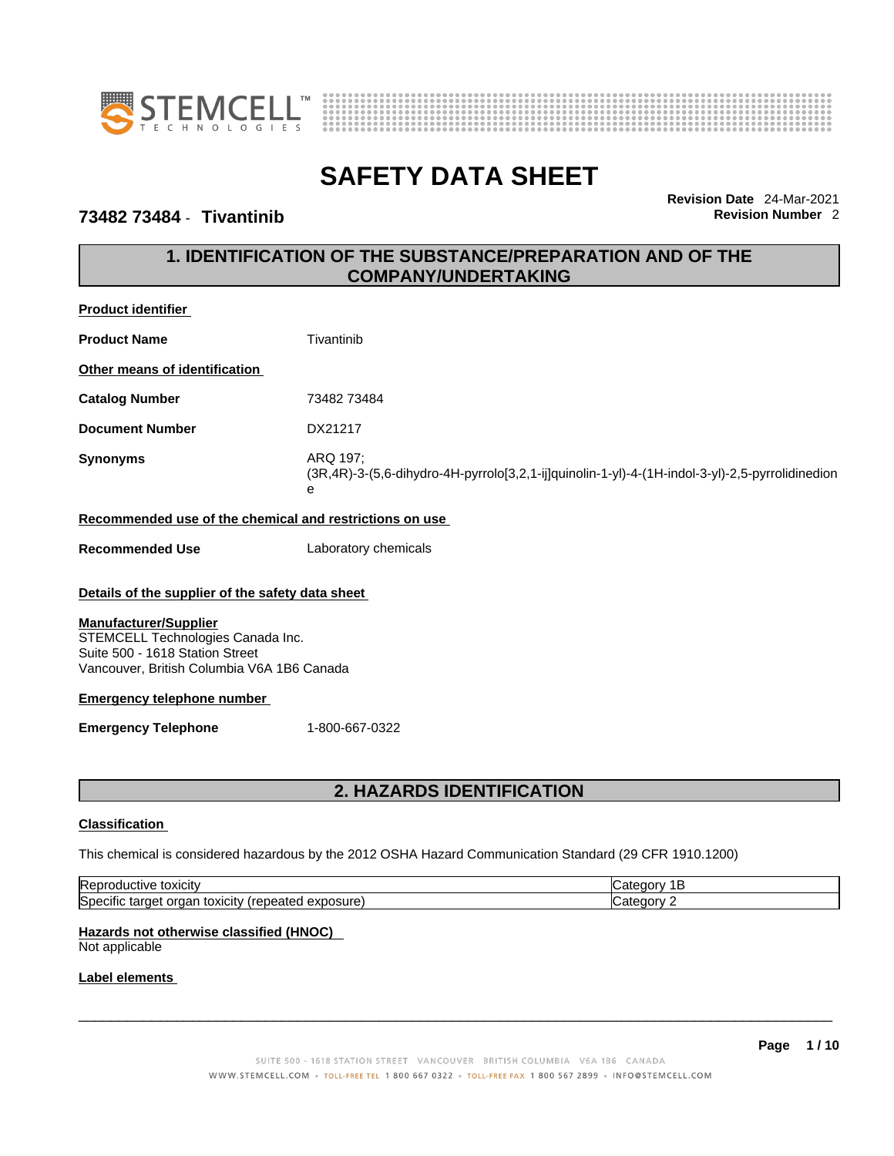



## **73482 73484** - **Tivantinib Revision Number** 2

**Revision Date** 24-Mar-2021

# **1. IDENTIFICATION OF THE SUBSTANCE/PREPARATION AND OF THE COMPANY/UNDERTAKING**

| <b>Product identifier</b>                                                                                             |                                                                                                                  |
|-----------------------------------------------------------------------------------------------------------------------|------------------------------------------------------------------------------------------------------------------|
| <b>Product Name</b>                                                                                                   | Tivantinib                                                                                                       |
| Other means of identification                                                                                         |                                                                                                                  |
| <b>Catalog Number</b>                                                                                                 | 73482 73484                                                                                                      |
| <b>Document Number</b>                                                                                                | DX21217                                                                                                          |
| <b>Synonyms</b>                                                                                                       | ARQ 197;<br>(3R,4R)-3-(5,6-dihydro-4H-pyrrolo[3,2,1-ij]quinolin-1-yl)-4-(1H-indol-3-yl)-2,5-pyrrolidinedion<br>e |
| Recommended use of the chemical and restrictions on use                                                               |                                                                                                                  |
| <b>Recommended Use</b>                                                                                                | Laboratory chemicals                                                                                             |
| Details of the supplier of the safety data sheet<br><b>Manufacturer/Supplier</b><br>STEMCELL Technologies Canada Inc. |                                                                                                                  |
| Suite 500 - 1618 Station Street<br>Vancouver, British Columbia V6A 1B6 Canada                                         |                                                                                                                  |
| <b>Emergency telephone number</b>                                                                                     |                                                                                                                  |
| <b>Emergency Telephone</b>                                                                                            | 1-800-667-0322                                                                                                   |
|                                                                                                                       |                                                                                                                  |
|                                                                                                                       | <b>2. HAZARDS IDENTIFICATION</b>                                                                                 |
| <b>Classification</b>                                                                                                 |                                                                                                                  |

This chemical is considered hazardous by the 2012 OSHA Hazard Communication Standard (29 CFR 1910.1200)

| toxicity<br><br>ורז<br>. . I IV $\bm{\mathsf{P}}$                                                                     |  |
|-----------------------------------------------------------------------------------------------------------------------|--|
| ∆∨r<br>osure<br>CITV<br>$\sim$<br>OXK<br>01 F<br>ΩГ<br>.aten<br>- ⁄اد<br>.<br>ıяı<br>$\overline{\phantom{a}}$<br>ラハしい |  |

# **Hazards not otherwise classified (HNOC)**

Not applicable

### **Label elements**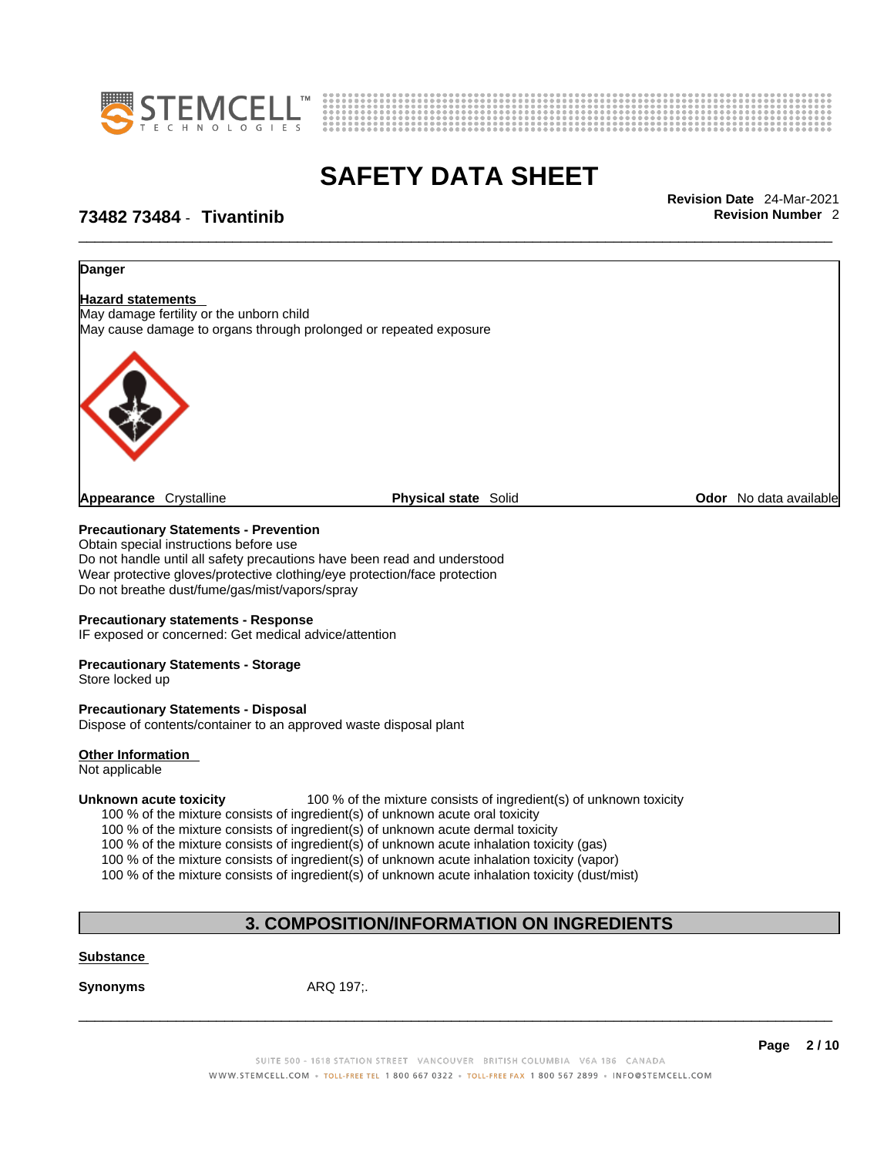



\_\_\_\_\_\_\_\_\_\_\_\_\_\_\_\_\_\_\_\_\_\_\_\_\_\_\_\_\_\_\_\_\_\_\_\_\_\_\_\_\_\_\_\_\_\_\_\_\_\_\_\_\_\_\_\_\_\_\_\_\_\_\_\_\_\_\_\_\_\_\_\_\_\_\_\_\_\_\_\_\_\_\_\_\_\_\_\_\_\_\_\_\_ **Revision Date** 24-Mar-2021

## **73482 73484** - **Tivantinib Revision Number** 2

# **Danger Hazard statements**  May damage fertility or the unborn child May cause damage to organs through prolonged or repeated exposure **Appearance** Crystalline **Physical state** Solid **Odor** No data available

**Precautionary Statements - Prevention**

Obtain special instructions before use Do not handle until all safety precautions have been read and understood Wear protective gloves/protective clothing/eye protection/face protection Do not breathe dust/fume/gas/mist/vapors/spray

### **Precautionary statements - Response**

IF exposed or concerned: Get medical advice/attention

### **Precautionary Statements - Storage**

Store locked up

### **Precautionary Statements - Disposal**

Dispose of contents/container to an approved waste disposal plant

### **Other Information**

Not applicable

**Unknown acute toxicity** 100 % of the mixture consists of ingredient(s) of unknown toxicity

100 % of the mixture consists of ingredient(s) of unknown acute oral toxicity

100 % of the mixture consists of ingredient(s) of unknown acute dermal toxicity

100 % of the mixture consists of ingredient(s) of unknown acute inhalation toxicity (gas)

100 % of the mixture consists of ingredient(s) of unknown acute inhalation toxicity (vapor)

100 % of the mixture consists of ingredient(s) of unknown acute inhalation toxicity (dust/mist)

# **3. COMPOSITION/INFORMATION ON INGREDIENTS**

### **Substance**

**Synonyms** ARQ 197;.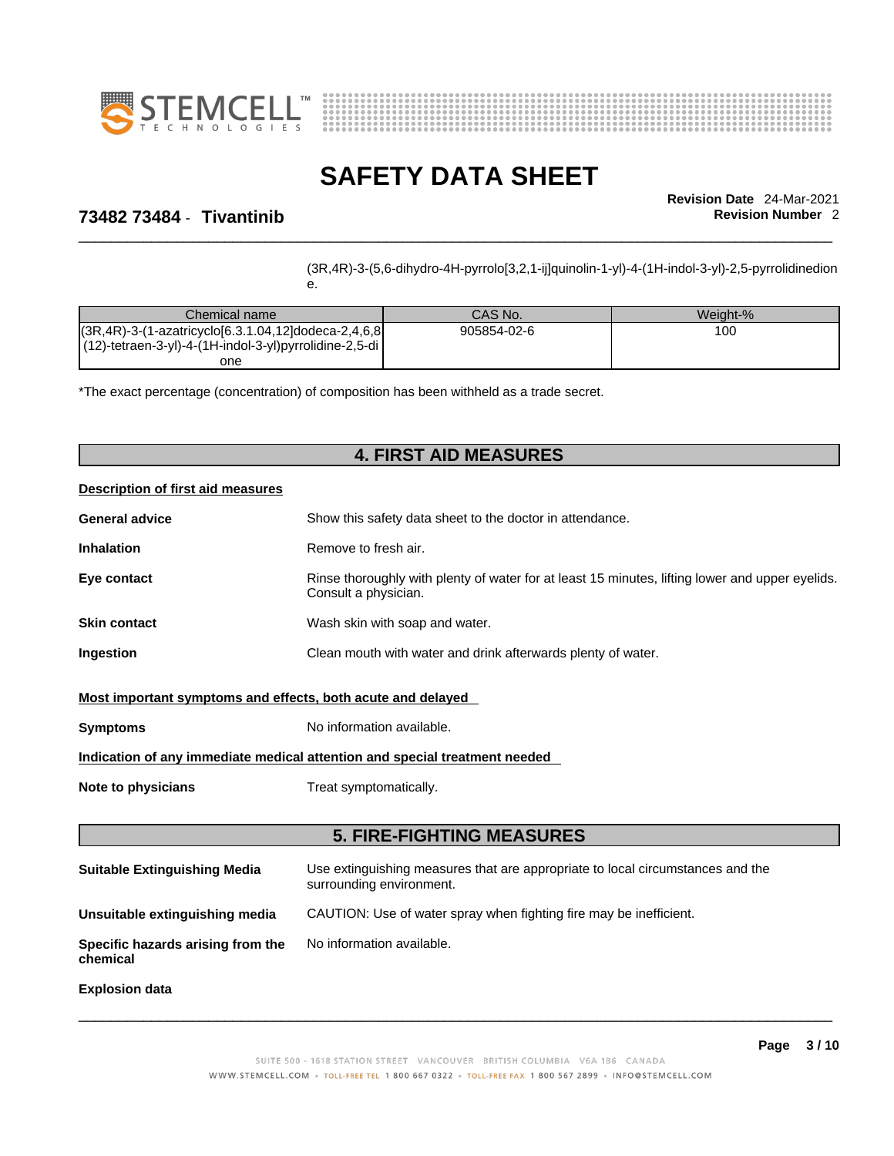



\_\_\_\_\_\_\_\_\_\_\_\_\_\_\_\_\_\_\_\_\_\_\_\_\_\_\_\_\_\_\_\_\_\_\_\_\_\_\_\_\_\_\_\_\_\_\_\_\_\_\_\_\_\_\_\_\_\_\_\_\_\_\_\_\_\_\_\_\_\_\_\_\_\_\_\_\_\_\_\_\_\_\_\_\_\_\_\_\_\_\_\_\_ **Revision Date** 24-Mar-2021

## **73482 73484** - **Tivantinib Revision Number** 2

(3R,4R)-3-(5,6-dihydro-4H-pyrrolo[3,2,1-ij]quinolin-1-yl)-4-(1H-indol-3-yl)-2,5-pyrrolidinedion

| Chemical name                                                   | CAS No.     | Weight-% |
|-----------------------------------------------------------------|-------------|----------|
| $ (3R.4R) - 3 - (1 - azatricyclo[6.3.1.04, 12]dodeca-2.4.6.8 )$ | 905854-02-6 | 100      |
| $(12)$ -tetraen-3-yl)-4- $(1H$ -indol-3-yl)pyrrolidine-2,5-di   |             |          |
| one                                                             |             |          |

\*The exact percentage (concentration) of composition has been withheld as a trade secret.

e.

## **4. FIRST AID MEASURES**

### **Description of first aid measures**

| <b>General advice</b> | Show this safety data sheet to the doctor in attendance.                                                                |
|-----------------------|-------------------------------------------------------------------------------------------------------------------------|
| <b>Inhalation</b>     | Remove to fresh air.                                                                                                    |
| Eye contact           | Rinse thoroughly with plenty of water for at least 15 minutes, lifting lower and upper eyelids.<br>Consult a physician. |
| <b>Skin contact</b>   | Wash skin with soap and water.                                                                                          |
| <b>Ingestion</b>      | Clean mouth with water and drink afterwards plenty of water.                                                            |

### **Most important symptoms and effects, both acute and delayed**

| Symptoms | No information available. |
|----------|---------------------------|
|----------|---------------------------|

### **Indication of any immediate medical attention and special treatment needed**

**Note to physicians** Treat symptomatically.

## **5. FIRE-FIGHTING MEASURES**

| <b>Suitable Extinguishing Media</b>           | Use extinguishing measures that are appropriate to local circumstances and the<br>surrounding environment. |
|-----------------------------------------------|------------------------------------------------------------------------------------------------------------|
| Unsuitable extinguishing media                | CAUTION: Use of water spray when fighting fire may be inefficient.                                         |
| Specific hazards arising from the<br>chemical | No information available.                                                                                  |

**Explosion data**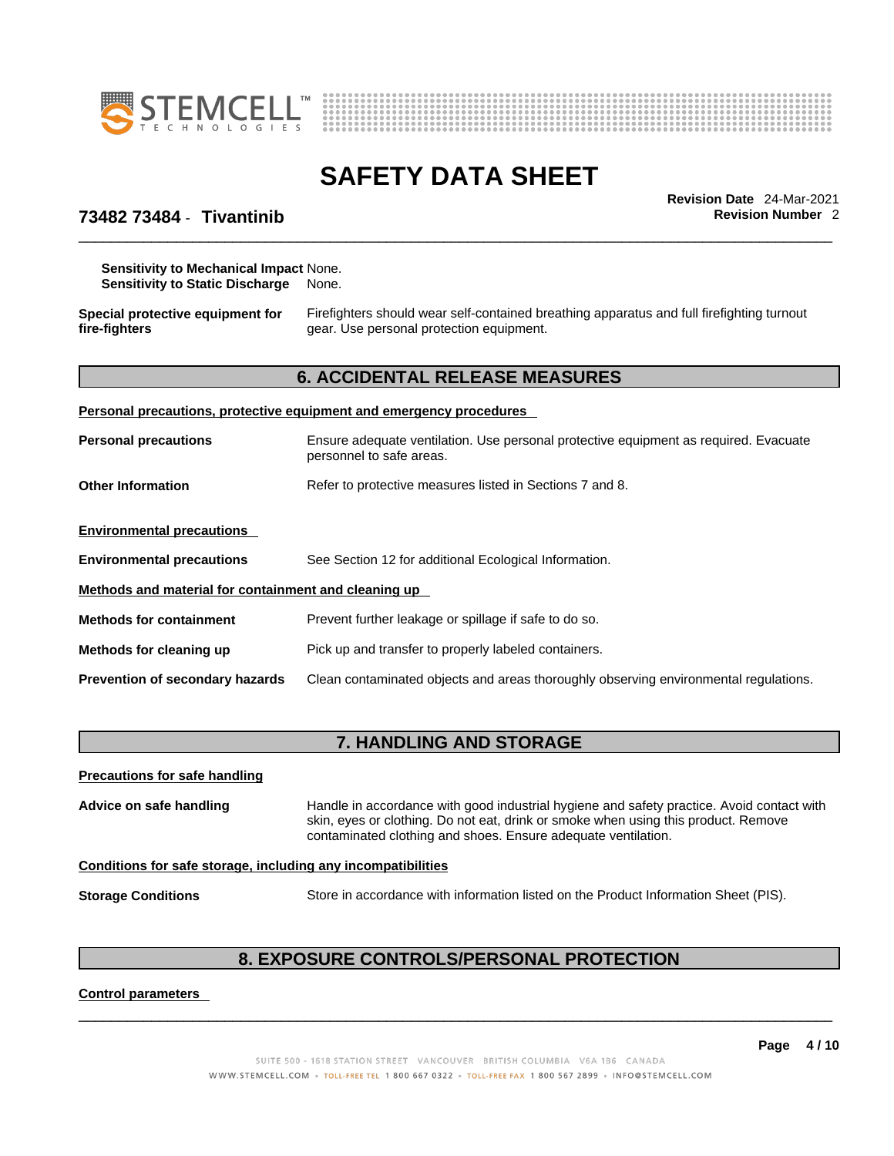



\_\_\_\_\_\_\_\_\_\_\_\_\_\_\_\_\_\_\_\_\_\_\_\_\_\_\_\_\_\_\_\_\_\_\_\_\_\_\_\_\_\_\_\_\_\_\_\_\_\_\_\_\_\_\_\_\_\_\_\_\_\_\_\_\_\_\_\_\_\_\_\_\_\_\_\_\_\_\_\_\_\_\_\_\_\_\_\_\_\_\_\_\_ **Revision Date** 24-Mar-2021

## **73482 73484** - **Tivantinib Revision Number** 2

**Sensitivity to Mechanical Impact** None. **Sensitivity to Static Discharge** None.

**Special protective equipment for fire-fighters**

Firefighters should wear self-contained breathing apparatus and full firefighting turnout gear. Use personal protection equipment.

## **6. ACCIDENTAL RELEASE MEASURES**

| Personal precautions, protective equipment and emergency procedures |                                                                                                                  |  |
|---------------------------------------------------------------------|------------------------------------------------------------------------------------------------------------------|--|
| <b>Personal precautions</b>                                         | Ensure adequate ventilation. Use personal protective equipment as required. Evacuate<br>personnel to safe areas. |  |
| <b>Other Information</b>                                            | Refer to protective measures listed in Sections 7 and 8.                                                         |  |
| <b>Environmental precautions</b>                                    |                                                                                                                  |  |
| <b>Environmental precautions</b>                                    | See Section 12 for additional Ecological Information.                                                            |  |
| Methods and material for containment and cleaning up                |                                                                                                                  |  |
| <b>Methods for containment</b>                                      | Prevent further leakage or spillage if safe to do so.                                                            |  |
| Methods for cleaning up                                             | Pick up and transfer to properly labeled containers.                                                             |  |
| <b>Prevention of secondary hazards</b>                              | Clean contaminated objects and areas thoroughly observing environmental regulations.                             |  |

# **7. HANDLING AND STORAGE**

| <b>Precautions for safe handling</b>                         |                                                                                                                                                                                                                                                  |
|--------------------------------------------------------------|--------------------------------------------------------------------------------------------------------------------------------------------------------------------------------------------------------------------------------------------------|
| Advice on safe handling                                      | Handle in accordance with good industrial hygiene and safety practice. Avoid contact with<br>skin, eyes or clothing. Do not eat, drink or smoke when using this product. Remove<br>contaminated clothing and shoes. Ensure adequate ventilation. |
| Conditions for safe storage, including any incompatibilities |                                                                                                                                                                                                                                                  |
| <b>Storage Conditions</b>                                    | Store in accordance with information listed on the Product Information Sheet (PIS).                                                                                                                                                              |

# **8. EXPOSURE CONTROLS/PERSONAL PROTECTION**

 $\_$  ,  $\_$  ,  $\_$  ,  $\_$  ,  $\_$  ,  $\_$  ,  $\_$  ,  $\_$  ,  $\_$  ,  $\_$  ,  $\_$  ,  $\_$  ,  $\_$  ,  $\_$  ,  $\_$  ,  $\_$  ,  $\_$  ,  $\_$  ,  $\_$  ,  $\_$  ,  $\_$  ,  $\_$  ,  $\_$  ,  $\_$  ,  $\_$  ,  $\_$  ,  $\_$  ,  $\_$  ,  $\_$  ,  $\_$  ,  $\_$  ,  $\_$  ,  $\_$  ,  $\_$  ,  $\_$  ,  $\_$  ,  $\_$  ,

### **Control parameters**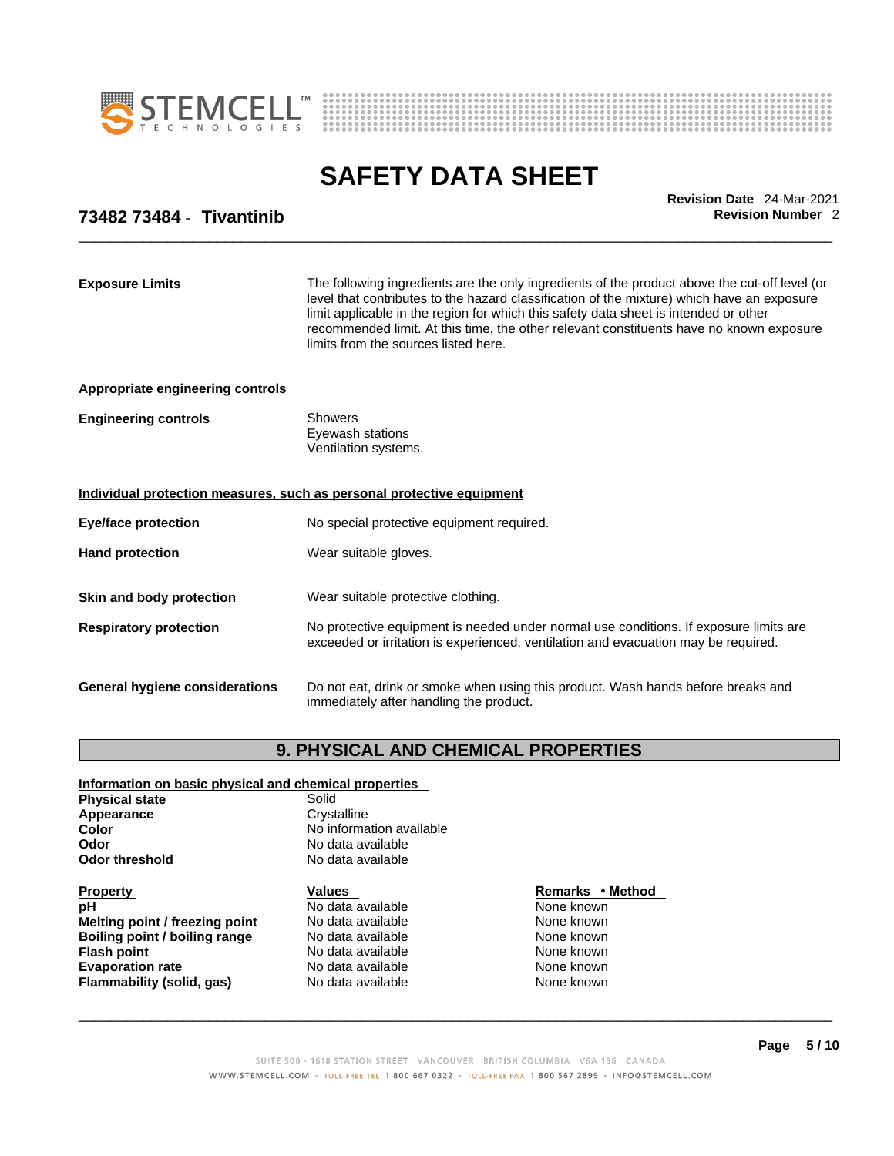



\_\_\_\_\_\_\_\_\_\_\_\_\_\_\_\_\_\_\_\_\_\_\_\_\_\_\_\_\_\_\_\_\_\_\_\_\_\_\_\_\_\_\_\_\_\_\_\_\_\_\_\_\_\_\_\_\_\_\_\_\_\_\_\_\_\_\_\_\_\_\_\_\_\_\_\_\_\_\_\_\_\_\_\_\_\_\_\_\_\_\_\_\_ **Revision Date** 24-Mar-2021

## **73482 73484** - **Tivantinib Revision Number** 2

| The following ingredients are the only ingredients of the product above the cut-off level (or<br>level that contributes to the hazard classification of the mixture) which have an exposure<br>limit applicable in the region for which this safety data sheet is intended or other<br>recommended limit. At this time, the other relevant constituents have no known exposure<br>limits from the sources listed here.<br><b>Showers</b><br>Eyewash stations<br>Ventilation systems.<br>Individual protection measures, such as personal protective equipment<br>No special protective equipment required.<br>Wear suitable gloves.<br>Wear suitable protective clothing.<br>No protective equipment is needed under normal use conditions. If exposure limits are<br>exceeded or irritation is experienced, ventilation and evacuation may be required.<br>Do not eat, drink or smoke when using this product. Wash hands before breaks and<br>immediately after handling the product. |                                         |  |
|-----------------------------------------------------------------------------------------------------------------------------------------------------------------------------------------------------------------------------------------------------------------------------------------------------------------------------------------------------------------------------------------------------------------------------------------------------------------------------------------------------------------------------------------------------------------------------------------------------------------------------------------------------------------------------------------------------------------------------------------------------------------------------------------------------------------------------------------------------------------------------------------------------------------------------------------------------------------------------------------|-----------------------------------------|--|
|                                                                                                                                                                                                                                                                                                                                                                                                                                                                                                                                                                                                                                                                                                                                                                                                                                                                                                                                                                                         | <b>Exposure Limits</b>                  |  |
|                                                                                                                                                                                                                                                                                                                                                                                                                                                                                                                                                                                                                                                                                                                                                                                                                                                                                                                                                                                         | <b>Appropriate engineering controls</b> |  |
|                                                                                                                                                                                                                                                                                                                                                                                                                                                                                                                                                                                                                                                                                                                                                                                                                                                                                                                                                                                         | <b>Engineering controls</b>             |  |
|                                                                                                                                                                                                                                                                                                                                                                                                                                                                                                                                                                                                                                                                                                                                                                                                                                                                                                                                                                                         |                                         |  |
|                                                                                                                                                                                                                                                                                                                                                                                                                                                                                                                                                                                                                                                                                                                                                                                                                                                                                                                                                                                         | <b>Eye/face protection</b>              |  |
|                                                                                                                                                                                                                                                                                                                                                                                                                                                                                                                                                                                                                                                                                                                                                                                                                                                                                                                                                                                         | <b>Hand protection</b>                  |  |
|                                                                                                                                                                                                                                                                                                                                                                                                                                                                                                                                                                                                                                                                                                                                                                                                                                                                                                                                                                                         | Skin and body protection                |  |
|                                                                                                                                                                                                                                                                                                                                                                                                                                                                                                                                                                                                                                                                                                                                                                                                                                                                                                                                                                                         | <b>Respiratory protection</b>           |  |
|                                                                                                                                                                                                                                                                                                                                                                                                                                                                                                                                                                                                                                                                                                                                                                                                                                                                                                                                                                                         | General hygiene considerations          |  |

# **9. PHYSICAL AND CHEMICAL PROPERTIES**

### **Information on basic physical and chemical properties**

**Physical state**<br> **Appearance** Solid Crystalline Appearance<br>Color **Odor**<br> **Odor threshold**<br> **Odor threshold CODE** 

**Property**<br> **Property**<br> **PH**<br> **Remarks** • **Method**<br> **Remarks** • **Method**<br> **Remarks** • **Method**<br> **Remarks** • **Method Melting point / freezing point** No data available None known **Boiling point / boiling range Modata available None Known None known Flash point** No data available None known **Evaporation rate Reserve Accord No data available Mone known** None known **Flammability (solid, gas)** No data available None Known None known

**Color Color Color Color Color Color Color Color Color Color Color No** data available **No data available** 

**No data available**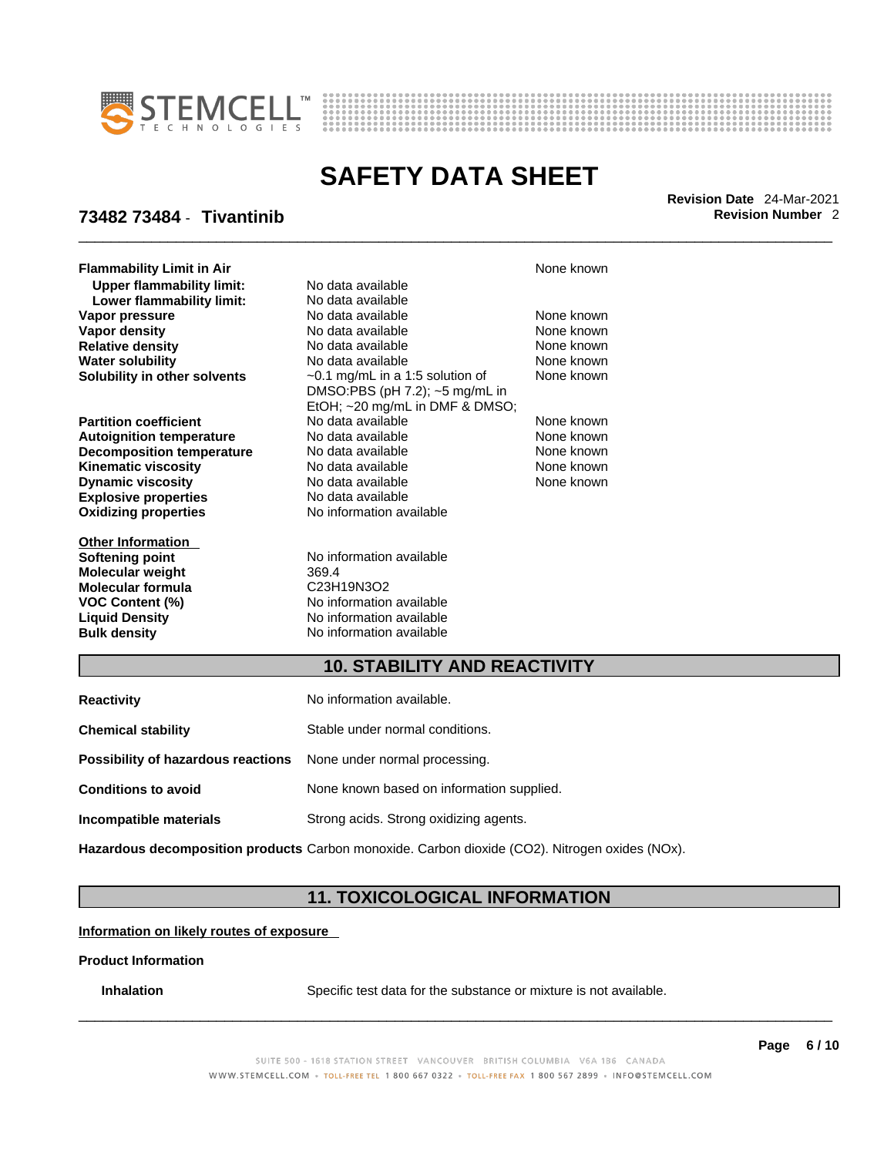



\_\_\_\_\_\_\_\_\_\_\_\_\_\_\_\_\_\_\_\_\_\_\_\_\_\_\_\_\_\_\_\_\_\_\_\_\_\_\_\_\_\_\_\_\_\_\_\_\_\_\_\_\_\_\_\_\_\_\_\_\_\_\_\_\_\_\_\_\_\_\_\_\_\_\_\_\_\_\_\_\_\_\_\_\_\_\_\_\_\_\_\_\_ **Revision Date** 24-Mar-2021

## **73482 73484** - **Tivantinib Revision Number** 2

**Flammability Limit in Air None known None known None known Upper flammability limit:** No data available **Lower flammability limit:** No data available **Vapor density No data available** None known **Solubility in other solvents** ~0.1 mg/mL in a 1:5 solution of

**Explosive properties** No data available **Oxidizing properties** No information available **Dynamic viscosity** 

**Other Information Molecular weight** 369.4 **Molecular formula**<br>**VOC Content** (%)

**Vapor pressure No data available Mone known**<br> **Vapor density No data available** Mone known **Relative density No data available** None known **Water solubility No data available** None known DMSO:PBS (pH 7.2); ~5 mg/mL in EtOH; ~20 mg/mL in DMF & DMSO; **Partition coefficient** No data available None known **Autoignition temperature No data available None known**<br> **Decomposition temperature** No data available **None known Decomposition temperature** No data available **None known**<br> **Kinematic viscosity No data available** None known **Kinematic viscosity No data available None known**<br> **None known**<br>
No data available **None known**<br>
None known

**Softening point**<br> **Molecular weight**<br> **Molecular weight**<br> **Molecular weight**<br> **Molecular weight**<br> **Molecular weight VOC Content (%)**<br>
Liquid Density<br>
No information available **Liquid Density**<br> **Bulk density**<br> **Bulk density**<br> **D** No information available **Bulk density** No information available

None known

## **10. STABILITY AND REACTIVITY**

| <b>Reactivity</b>                                                       | No information available.                 |
|-------------------------------------------------------------------------|-------------------------------------------|
| <b>Chemical stability</b>                                               | Stable under normal conditions.           |
| <b>Possibility of hazardous reactions</b> None under normal processing. |                                           |
| <b>Conditions to avoid</b>                                              | None known based on information supplied. |
| Incompatible materials                                                  | Strong acids. Strong oxidizing agents.    |
|                                                                         |                                           |

**Hazardous decomposition products** Carbon monoxide. Carbon dioxide (CO2). Nitrogen oxides (NOx).

## **11. TOXICOLOGICAL INFORMATION**

**Information on likely routes of exposure**

### **Product Information**

**Inhalation** Specific test data for the substance or mixture is not available.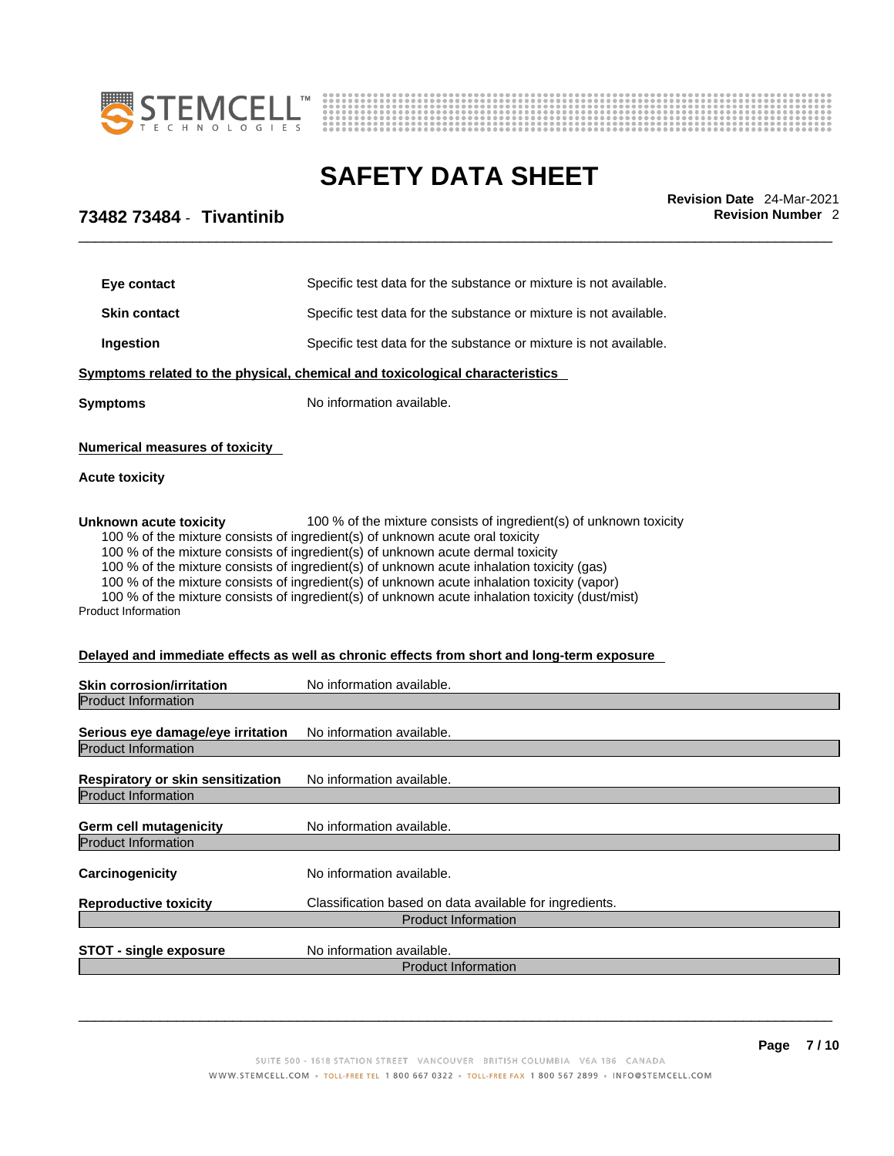



\_\_\_\_\_\_\_\_\_\_\_\_\_\_\_\_\_\_\_\_\_\_\_\_\_\_\_\_\_\_\_\_\_\_\_\_\_\_\_\_\_\_\_\_\_\_\_\_\_\_\_\_\_\_\_\_\_\_\_\_\_\_\_\_\_\_\_\_\_\_\_\_\_\_\_\_\_\_\_\_\_\_\_\_\_\_\_\_\_\_\_\_\_ **Revision Date** 24-Mar-2021

# **73482 73484** - **Tivantinib Revision Number** 2

| Eye contact                                                     | Specific test data for the substance or mixture is not available.                                                                                                                                                                                                                                                                                                                                                                                                                                                                                                                                                                   |
|-----------------------------------------------------------------|-------------------------------------------------------------------------------------------------------------------------------------------------------------------------------------------------------------------------------------------------------------------------------------------------------------------------------------------------------------------------------------------------------------------------------------------------------------------------------------------------------------------------------------------------------------------------------------------------------------------------------------|
| <b>Skin contact</b>                                             | Specific test data for the substance or mixture is not available.                                                                                                                                                                                                                                                                                                                                                                                                                                                                                                                                                                   |
| Ingestion                                                       | Specific test data for the substance or mixture is not available.                                                                                                                                                                                                                                                                                                                                                                                                                                                                                                                                                                   |
|                                                                 | Symptoms related to the physical, chemical and toxicological characteristics                                                                                                                                                                                                                                                                                                                                                                                                                                                                                                                                                        |
| <b>Symptoms</b>                                                 | No information available.                                                                                                                                                                                                                                                                                                                                                                                                                                                                                                                                                                                                           |
| <b>Numerical measures of toxicity</b><br><b>Acute toxicity</b>  |                                                                                                                                                                                                                                                                                                                                                                                                                                                                                                                                                                                                                                     |
| Unknown acute toxicity<br><b>Product Information</b>            | 100 % of the mixture consists of ingredient(s) of unknown toxicity<br>100 % of the mixture consists of ingredient(s) of unknown acute oral toxicity<br>100 % of the mixture consists of ingredient(s) of unknown acute dermal toxicity<br>100 % of the mixture consists of ingredient(s) of unknown acute inhalation toxicity (gas)<br>100 % of the mixture consists of ingredient(s) of unknown acute inhalation toxicity (vapor)<br>100 % of the mixture consists of ingredient(s) of unknown acute inhalation toxicity (dust/mist)<br>Delayed and immediate effects as well as chronic effects from short and long-term exposure |
| <b>Skin corrosion/irritation</b><br><b>Product Information</b>  | No information available.                                                                                                                                                                                                                                                                                                                                                                                                                                                                                                                                                                                                           |
| Serious eye damage/eye irritation<br><b>Product Information</b> | No information available.                                                                                                                                                                                                                                                                                                                                                                                                                                                                                                                                                                                                           |
| Respiratory or skin sensitization<br><b>Product Information</b> | No information available.                                                                                                                                                                                                                                                                                                                                                                                                                                                                                                                                                                                                           |
| Germ cell mutagenicity<br><b>Product Information</b>            | No information available.                                                                                                                                                                                                                                                                                                                                                                                                                                                                                                                                                                                                           |
| Carcinogenicity                                                 | No information available.                                                                                                                                                                                                                                                                                                                                                                                                                                                                                                                                                                                                           |
| <b>Reproductive toxicity</b>                                    | Classification based on data available for ingredients.                                                                                                                                                                                                                                                                                                                                                                                                                                                                                                                                                                             |
|                                                                 | <b>Product Information</b>                                                                                                                                                                                                                                                                                                                                                                                                                                                                                                                                                                                                          |
| <b>STOT - single exposure</b>                                   | No information available.<br><b>Product Information</b>                                                                                                                                                                                                                                                                                                                                                                                                                                                                                                                                                                             |
|                                                                 |                                                                                                                                                                                                                                                                                                                                                                                                                                                                                                                                                                                                                                     |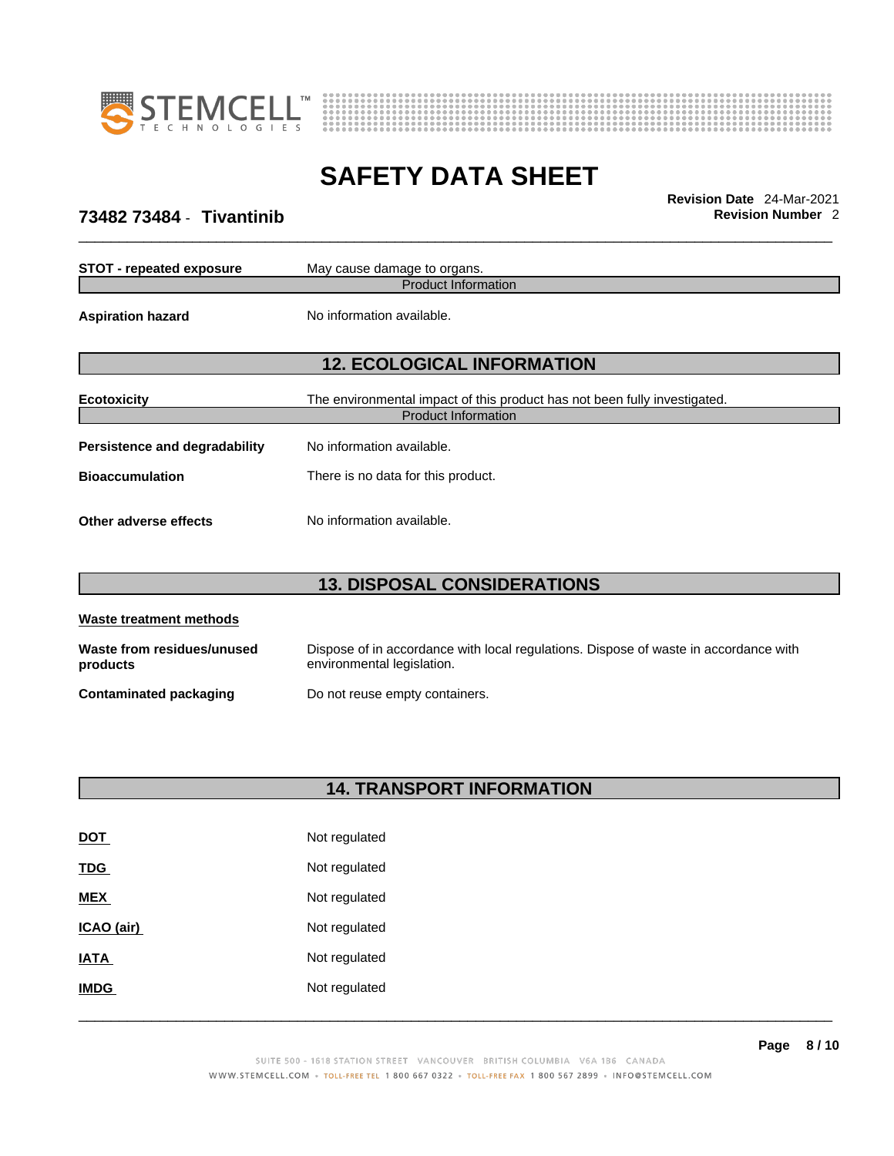



\_\_\_\_\_\_\_\_\_\_\_\_\_\_\_\_\_\_\_\_\_\_\_\_\_\_\_\_\_\_\_\_\_\_\_\_\_\_\_\_\_\_\_\_\_\_\_\_\_\_\_\_\_\_\_\_\_\_\_\_\_\_\_\_\_\_\_\_\_\_\_\_\_\_\_\_\_\_\_\_\_\_\_\_\_\_\_\_\_\_\_\_\_ **Revision Date** 24-Mar-2021

## **73482 73484** - **Tivantinib Revision Number** 2

| <b>STOT - repeated exposure</b> | May cause damage to organs.                                                                             |
|---------------------------------|---------------------------------------------------------------------------------------------------------|
|                                 | <b>Product Information</b>                                                                              |
| <b>Aspiration hazard</b>        | No information available.                                                                               |
|                                 | <b>12. ECOLOGICAL INFORMATION</b>                                                                       |
| <b>Ecotoxicity</b>              | The environmental impact of this product has not been fully investigated.<br><b>Product Information</b> |
| Persistence and degradability   | No information available.                                                                               |
| <b>Bioaccumulation</b>          | There is no data for this product.                                                                      |
| Other adverse effects           | No information available.                                                                               |

# **13. DISPOSAL CONSIDERATIONS**

| Waste treatment methods                |                                                                                                                    |  |
|----------------------------------------|--------------------------------------------------------------------------------------------------------------------|--|
| Waste from residues/unused<br>products | Dispose of in accordance with local regulations. Dispose of waste in accordance with<br>environmental legislation. |  |
| <b>Contaminated packaging</b>          | Do not reuse empty containers.                                                                                     |  |

# **14. TRANSPORT INFORMATION**

| DOT         | Not regulated |
|-------------|---------------|
| <u>TDG</u>  | Not regulated |
| <b>MEX</b>  | Not regulated |
| ICAO (air)  | Not regulated |
| IATA        | Not regulated |
| <b>IMDG</b> | Not regulated |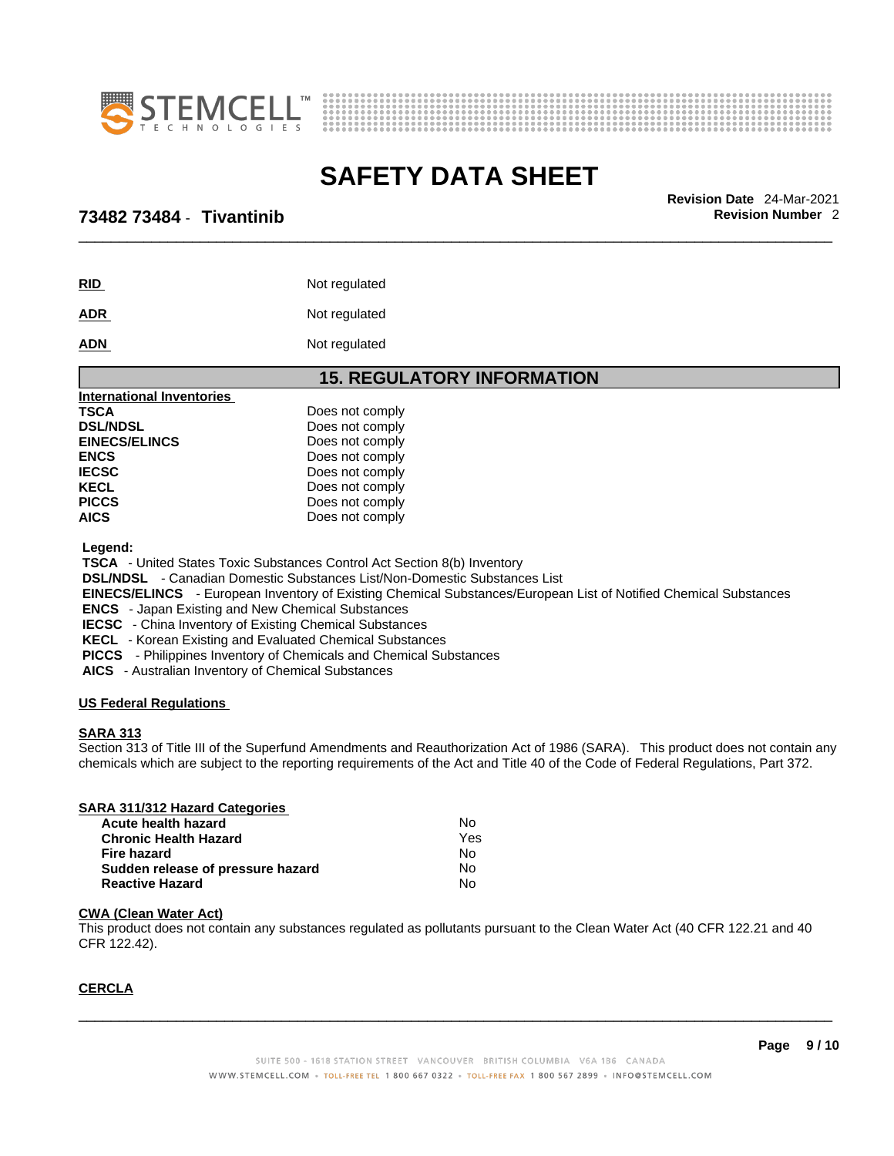



\_\_\_\_\_\_\_\_\_\_\_\_\_\_\_\_\_\_\_\_\_\_\_\_\_\_\_\_\_\_\_\_\_\_\_\_\_\_\_\_\_\_\_\_\_\_\_\_\_\_\_\_\_\_\_\_\_\_\_\_\_\_\_\_\_\_\_\_\_\_\_\_\_\_\_\_\_\_\_\_\_\_\_\_\_\_\_\_\_\_\_\_\_ **Revision Date** 24-Mar-2021

### **73482 73484** - **Tivantinib Revision Number** 2

| RID        | Not regulated |
|------------|---------------|
| <u>ADR</u> | Not regulated |

ADN Not regulated

### **15. REGULATORY INFORMATION**

| Does not comply |
|-----------------|
| Does not comply |
| Does not comply |
| Does not comply |
| Does not comply |
| Does not comply |
| Does not comply |
| Does not comply |
|                 |

 **Legend:** 

 **TSCA** - United States Toxic Substances Control Act Section 8(b) Inventory

 **DSL/NDSL** - Canadian Domestic Substances List/Non-Domestic Substances List

 **EINECS/ELINCS** - European Inventory of Existing Chemical Substances/European List of Notified Chemical Substances

 **ENCS** - Japan Existing and New Chemical Substances

 **IECSC** - China Inventory of Existing Chemical Substances

 **KECL** - Korean Existing and Evaluated Chemical Substances

 **PICCS** - Philippines Inventory of Chemicals and Chemical Substances

 **AICS** - Australian Inventory of Chemical Substances

### **US Federal Regulations**

### **SARA 313**

Section 313 of Title III of the Superfund Amendments and Reauthorization Act of 1986 (SARA). This product does not contain any chemicals which are subject to the reporting requirements of the Act and Title 40 of the Code of Federal Regulations, Part 372.

### **SARA 311/312 Hazard Categories Acute health hazard** No **Chronic Health Hazard** Yes **Fire hazard** No **Sudden release of pressure hazard** No **Reactive Hazard**

### **CWA (Clean WaterAct)**

This product does not contain any substances regulated as pollutants pursuant to the Clean Water Act (40 CFR 122.21 and 40 CFR 122.42).

### **CERCLA**